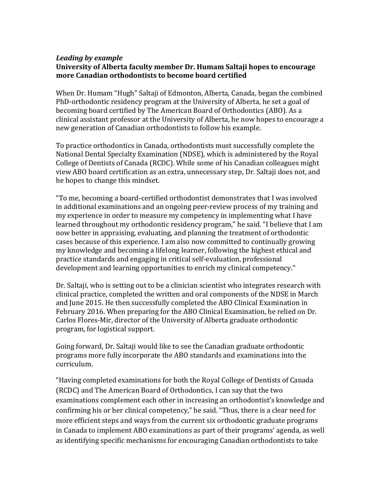## *Leading by example* **University of Alberta faculty member Dr. Humam Saltaji hopes to encourage more Canadian orthodontists to become board certified**

When Dr. Humam "Hugh" Saltaji of Edmonton, Alberta, Canada, began the combined PhD-orthodontic residency program at the University of Alberta, he set a goal of becoming board certified by The American Board of Orthodontics (ABO). As a clinical assistant professor at the University of Alberta, he now hopes to encourage a new generation of Canadian orthodontists to follow his example.

To practice orthodontics in Canada, orthodontists must successfully complete the National Dental Specialty Examination (NDSE), which is administered by the Royal College of Dentists of Canada (RCDC). While some of his Canadian colleagues might view ABO board certification as an extra, unnecessary step, Dr. Saltaji does not, and he hopes to change this mindset.

"To me, becoming a board-certified orthodontist demonstrates that I was involved in additional examinations and an ongoing peer-review process of my training and my experience in order to measure my competency in implementing what I have learned throughout my orthodontic residency program," he said. "I believe that I am now better in appraising, evaluating, and planning the treatment of orthodontic cases because of this experience. I am also now committed to continually growing my knowledge and becoming a lifelong learner, following the highest ethical and practice standards and engaging in critical self-evaluation, professional development and learning opportunities to enrich my clinical competency."

Dr. Saltaji, who is setting out to be a clinician scientist who integrates research with clinical practice, completed the written and oral components of the NDSE in March and June 2015. He then successfully completed the ABO Clinical Examination in February 2016. When preparing for the ABO Clinical Examination, he relied on Dr. Carlos Flores-Mir, director of the University of Alberta graduate orthodontic program, for logistical support.

Going forward, Dr. Saltaji would like to see the Canadian graduate orthodontic programs more fully incorporate the ABO standards and examinations into the curriculum.

"Having completed examinations for both the Royal College of Dentists of Canada (RCDC) and The American Board of Orthodontics, I can say that the two examinations complement each other in increasing an orthodontist's knowledge and confirming his or her clinical competency," he said. "Thus, there is a clear need for more efficient steps and ways from the current six orthodontic graduate programs in Canada to implement ABO examinations as part of their programs' agenda, as well as identifying specific mechanisms for encouraging Canadian orthodontists to take